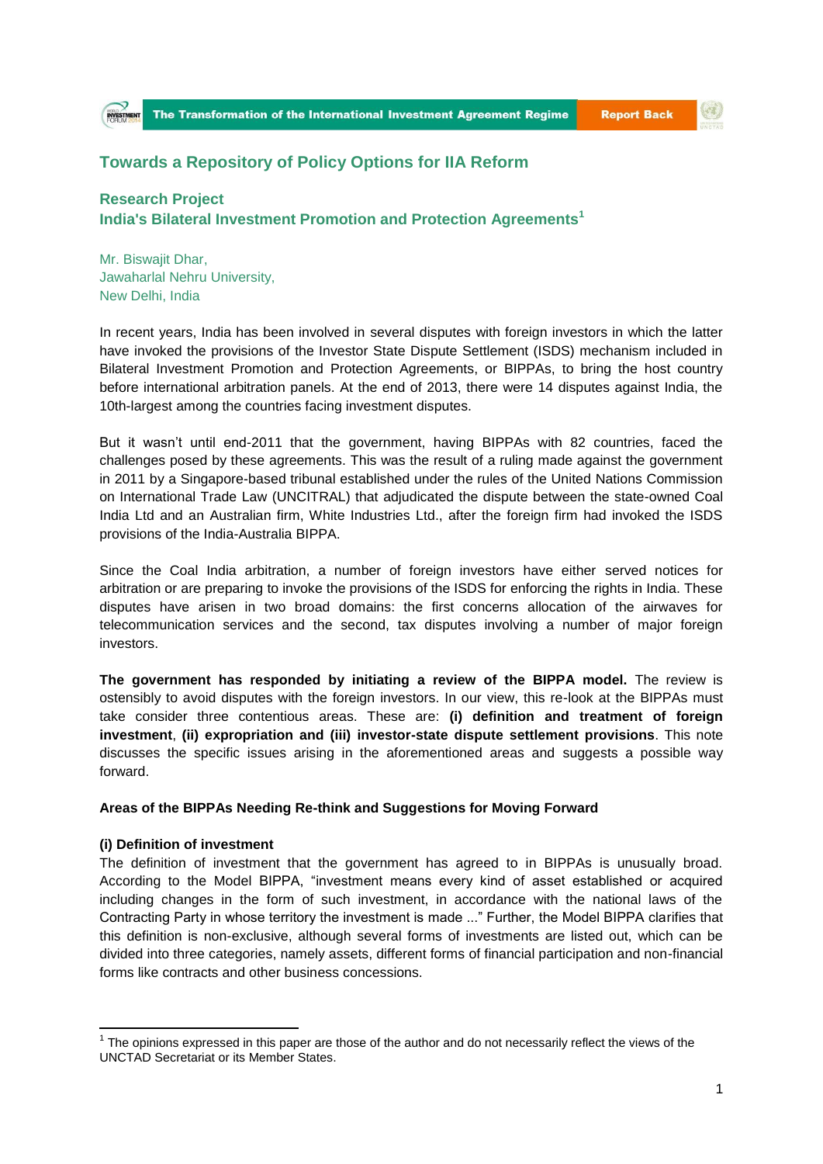$\left( 0\right)$ 

# **Towards a Repository of Policy Options for IIA Reform**

## **Research Project India's Bilateral Investment Promotion and Protection Agreements<sup>1</sup>**

Mr. Biswajit Dhar, Jawaharlal Nehru University, New Delhi, India

In recent years, India has been involved in several disputes with foreign investors in which the latter have invoked the provisions of the Investor State Dispute Settlement (ISDS) mechanism included in Bilateral Investment Promotion and Protection Agreements, or BIPPAs, to bring the host country before international arbitration panels. At the end of 2013, there were 14 disputes against India, the 10th-largest among the countries facing investment disputes.

But it wasn't until end-2011 that the government, having BIPPAs with 82 countries, faced the challenges posed by these agreements. This was the result of a ruling made against the government in 2011 by a Singapore-based tribunal established under the rules of the United Nations Commission on International Trade Law (UNCITRAL) that adjudicated the dispute between the state-owned Coal India Ltd and an Australian firm, White Industries Ltd., after the foreign firm had invoked the ISDS provisions of the India-Australia BIPPA.

Since the Coal India arbitration, a number of foreign investors have either served notices for arbitration or are preparing to invoke the provisions of the ISDS for enforcing the rights in India. These disputes have arisen in two broad domains: the first concerns allocation of the airwaves for telecommunication services and the second, tax disputes involving a number of major foreign investors.

**The government has responded by initiating a review of the BIPPA model.** The review is ostensibly to avoid disputes with the foreign investors. In our view, this re-look at the BIPPAs must take consider three contentious areas. These are: **(i) definition and treatment of foreign investment**, **(ii) expropriation and (iii) investor-state dispute settlement provisions**. This note discusses the specific issues arising in the aforementioned areas and suggests a possible way forward.

#### **Areas of the BIPPAs Needing Re-think and Suggestions for Moving Forward**

#### **(i) Definition of investment**

**.** 

The definition of investment that the government has agreed to in BIPPAs is unusually broad. According to the Model BIPPA, "investment means every kind of asset established or acquired including changes in the form of such investment, in accordance with the national laws of the Contracting Party in whose territory the investment is made ..." Further, the Model BIPPA clarifies that this definition is non-exclusive, although several forms of investments are listed out, which can be divided into three categories, namely assets, different forms of financial participation and non-financial forms like contracts and other business concessions.

 $1$  The opinions expressed in this paper are those of the author and do not necessarily reflect the views of the UNCTAD Secretariat or its Member States.